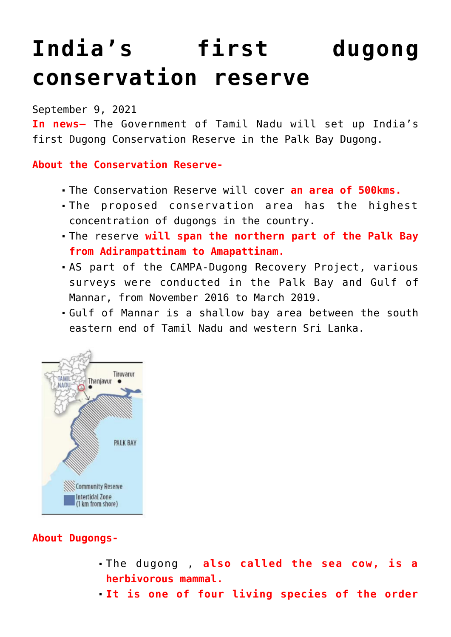# **[India's first dugong](https://journalsofindia.com/indias-first-dugong-conservation-reserve/) [conservation reserve](https://journalsofindia.com/indias-first-dugong-conservation-reserve/)**

#### September 9, 2021

**In news–** The Government of Tamil Nadu will set up India's first Dugong Conservation Reserve in the Palk Bay Dugong.

## **About the Conservation Reserve-**

- The Conservation Reserve will cover **an area of 500kms.**
- The proposed conservation area has the highest concentration of dugongs in the country.
- The reserve **will span the northern part of the Palk Bay from Adirampattinam to Amapattinam.**
- AS part of the CAMPA-Dugong Recovery Project, various surveys were conducted in the Palk Bay and Gulf of Mannar, from November 2016 to March 2019.
- Gulf of Mannar is a shallow bay area between the south eastern end of Tamil Nadu and western Sri Lanka.



## **About Dugongs-**

- The dugong , **also called the sea cow, is a herbivorous mammal.**
- **It is one of four living species of the order**